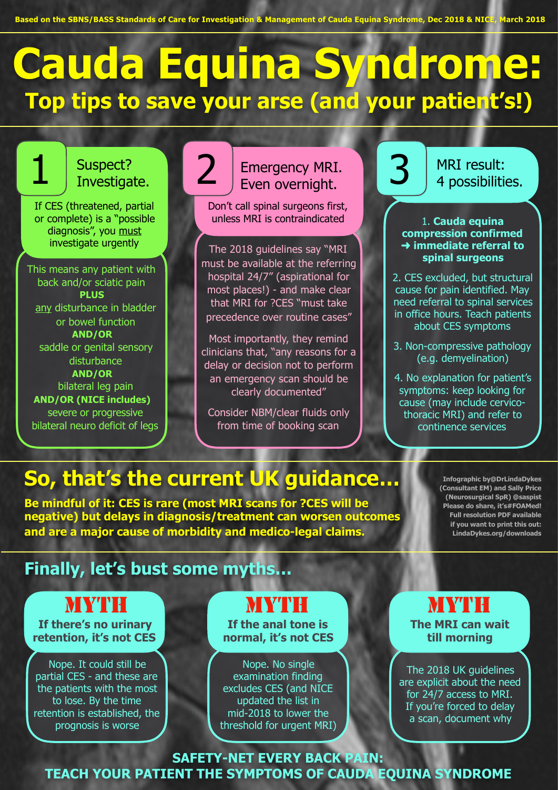**Based on the SBNS/BASS Standards of Care for Investigation & Management of Cauda Equina Syndrome, Dec 2018 & NICE, March 2018**

# **Cauda Equina Syndrome: Top tips to save your arse (and your patient's!)**

#### Suspect? Investigate.

If CES (threatened, partial or complete) is a "possible diagnosis", you must investigate urgently

This means any patient with back and/or sciatic pain **PLUS**  any disturbance in bladder or bowel function **AND/OR**  saddle or genital sensory disturbance **AND/OR**  bilateral leg pain **AND/OR (NICE includes)** severe or progressive bilateral neuro deficit of legs

### **Emergency MRI.** .Even overnight.

Don't call spinal surgeons first, unless MRI is contraindicated

The 2018 guidelines say "MRI must be available at the referring hospital 24/7" (aspirational for most places!) - and make clear that MRI for ?CES "must take precedence over routine cases"

Most importantly, they remind clinicians that, "any reasons for a delay or decision not to perform an emergency scan should be clearly documented"

Consider NBM/clear fluids only from time of booking scan



MRI result: 4 possibilities.

1. **Cauda equina compression confirmed**  ➜ **immediate referral to spinal surgeons**

2. CES excluded, but structural cause for pain identified. May need referral to spinal services in office hours. Teach patients about CES symptoms

3. Non-compressive pathology (e.g. demyelination)

4. No explanation for patient's symptoms: keep looking for cause (may include cervicothoracic MRI) and refer to continence services

# **So, that's the current UK guidance…**

2

**Be mindful of it: CES is rare (most MRI scans for ?CES will be negative) but delays in diagnosis/treatment can worsen outcomes and are a major cause of morbidity and medico-legal claims.** 

**Infographic by@DrLindaDykes (Consultant EM) and Sally Price (Neurosurgical SpR) @saspist Please do share, it's#FOAMed! Full resolution PDF available if you want to print this out: LindaDykes.org/downloads** 

### **Finally, let's bust some myths…**

## MYTH

**If there's no urinary retention, it's not CES** 

Nope. It could still be partial CES - and these are the patients with the most to lose. By the time retention is established, the prognosis is worse

**MYTH** 

**If the anal tone is normal, it's not CES** 

Nope. No single examination finding excludes CES (and NICE updated the list in mid-2018 to lower the threshold for urgent MRI) **The MRI can wait till morning MYTH** 

The 2018 UK guidelines are explicit about the need for 24/7 access to MRI. If you're forced to delay a scan, document why

**SAFETY-NET EVERY BACK PAIN: TEACH YOUR PATIENT THE SYMPTOMS OF CAUDA EQUINA SYNDROME**